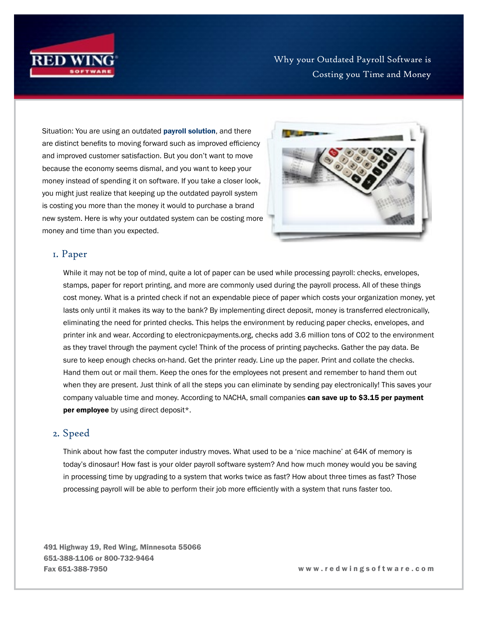

Why your Outdated Payroll Software is Costing you Time and Money

Situation: You are using an outdated **[payroll solution](https://www.redwingsoftware.com/home/products/payroll-software/)**, and there are distinct benefits to moving forward such as improved efficiency and improved customer satisfaction. But you don't want to move because the economy seems dismal, and you want to keep your money instead of spending it on software. If you take a closer look, you might just realize that keeping up the outdated payroll system is costing you more than the money it would to purchase a brand new system. Here is why your outdated system can be costing more money and time than you expected.



## 1. Paper

While it may not be top of mind, quite a lot of paper can be used while processing payroll: checks, envelopes, stamps, paper for report printing, and more are commonly used during the payroll process. All of these things cost money. What is a printed check if not an expendable piece of paper which costs your organization money, yet lasts only until it makes its way to the bank? By implementing direct deposit, money is transferred electronically, eliminating the need for printed checks. This helps the environment by reducing paper checks, envelopes, and printer ink and wear. According to electronicpayments.org, checks add 3.6 million tons of CO2 to the environment as they travel through the payment cycle! Think of the process of printing paychecks. Gather the pay data. Be sure to keep enough checks on-hand. Get the printer ready. Line up the paper. Print and collate the checks. Hand them out or mail them. Keep the ones for the employees not present and remember to hand them out when they are present. Just think of all the steps you can eliminate by sending pay electronically! This saves your company valuable time and money. According to NACHA, small companies can save up to \$3.15 per payment per employee by using direct deposit\*.

## 2. Speed

Think about how fast the computer industry moves. What used to be a 'nice machine' at 64K of memory is today's dinosaur! How fast is your older payroll software system? And how much money would you be saving in processing time by upgrading to a system that works twice as fast? How about three times as fast? Those processing payroll will be able to perform their job more efficiently with a system that runs faster too.

491 Highway 19, Red Wing, Minnesota 55066 651-388-1106 or 800-732-9464 Fax 651-388-7950 w w w . r e d w i n g s o f t w a r e . c o m